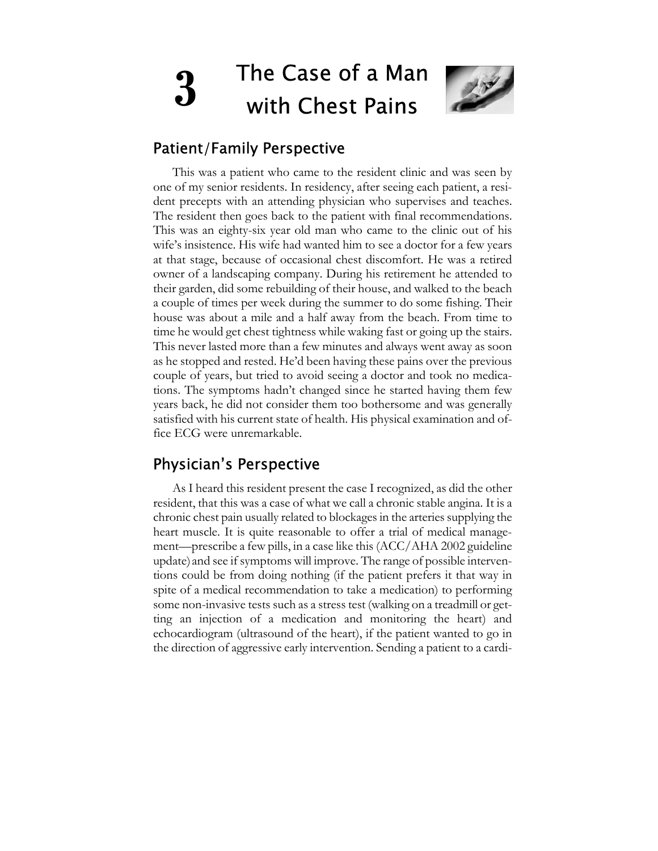# **3** The Case of a Man<br> **3** with Chest Pains



## Patient/Family Perspective

This was a patient who came to the resident clinic and was seen by one of my senior residents. In residency, after seeing each patient, a resident precepts with an attending physician who supervises and teaches. The resident then goes back to the patient with final recommendations. This was an eighty-six year old man who came to the clinic out of his wife's insistence. His wife had wanted him to see a doctor for a few years at that stage, because of occasional chest discomfort. He was a retired owner of a landscaping company. During his retirement he attended to their garden, did some rebuilding of their house, and walked to the beach a couple of times per week during the summer to do some fishing. Their house was about a mile and a half away from the beach. From time to time he would get chest tightness while waking fast or going up the stairs. This never lasted more than a few minutes and always went away as soon as he stopped and rested. He'd been having these pains over the previous couple of years, but tried to avoid seeing a doctor and took no medications. The symptoms hadn't changed since he started having them few years back, he did not consider them too bothersome and was generally satisfied with his current state of health. His physical examination and office ECG were unremarkable.

### Physician's Perspective

As I heard this resident present the case I recognized, as did the other resident, that this was a case of what we call a chronic stable angina. It is a chronic chest pain usually related to blockages in the arteries supplying the heart muscle. It is quite reasonable to offer a trial of medical management—prescribe a few pills, in a case like this (ACC/AHA 2002 guideline update) and see if symptoms will improve. The range of possible interventions could be from doing nothing (if the patient prefers it that way in spite of a medical recommendation to take a medication) to performing some non-invasive tests such as a stress test (walking on a treadmill or getting an injection of a medication and monitoring the heart) and echocardiogram (ultrasound of the heart), if the patient wanted to go in the direction of aggressive early intervention. Sending a patient to a cardi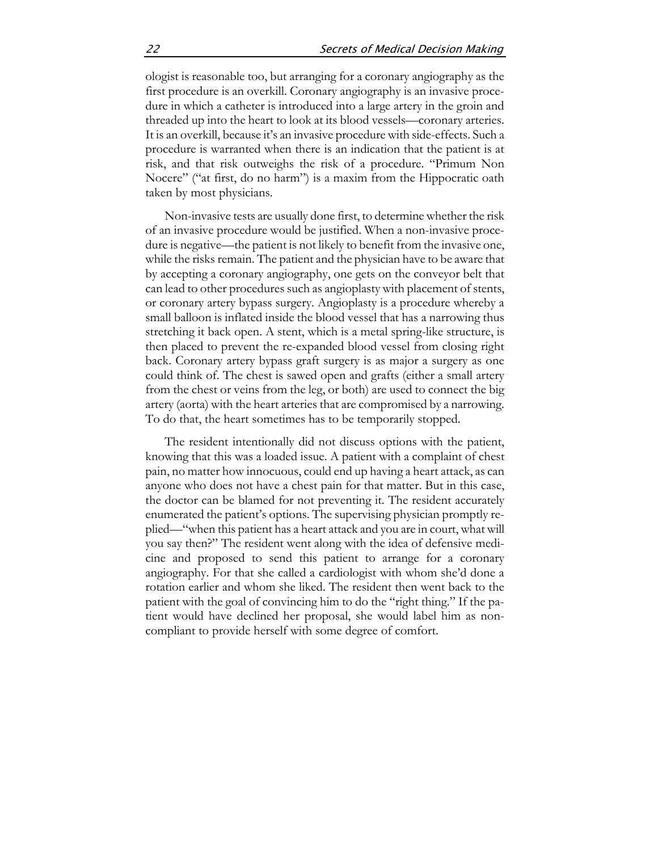ologist is reasonable too, but arranging for a coronary angiography as the first procedure is an overkill. Coronary angiography is an invasive procedure in which a catheter is introduced into a large artery in the groin and threaded up into the heart to look at its blood vessels—coronary arteries. It is an overkill, because it's an invasive procedure with side-effects. Such a procedure is warranted when there is an indication that the patient is at risk, and that risk outweighs the risk of a procedure. "Primum Non Nocere" ("at first, do no harm") is a maxim from the Hippocratic oath taken by most physicians.

Non-invasive tests are usually done first, to determine whether the risk of an invasive procedure would be justified. When a non-invasive procedure is negative—the patient is not likely to benefit from the invasive one, while the risks remain. The patient and the physician have to be aware that by accepting a coronary angiography, one gets on the conveyor belt that can lead to other procedures such as angioplasty with placement of stents, or coronary artery bypass surgery. Angioplasty is a procedure whereby a small balloon is inflated inside the blood vessel that has a narrowing thus stretching it back open. A stent, which is a metal spring-like structure, is then placed to prevent the re-expanded blood vessel from closing right back. Coronary artery bypass graft surgery is as major a surgery as one could think of. The chest is sawed open and grafts (either a small artery from the chest or veins from the leg, or both) are used to connect the big artery (aorta) with the heart arteries that are compromised by a narrowing. To do that, the heart sometimes has to be temporarily stopped.

The resident intentionally did not discuss options with the patient, knowing that this was a loaded issue. A patient with a complaint of chest pain, no matter how innocuous, could end up having a heart attack, as can anyone who does not have a chest pain for that matter. But in this case, the doctor can be blamed for not preventing it. The resident accurately enumerated the patient's options. The supervising physician promptly replied—"when this patient has a heart attack and you are in court, what will you say then?" The resident went along with the idea of defensive medicine and proposed to send this patient to arrange for a coronary angiography. For that she called a cardiologist with whom she'd done a rotation earlier and whom she liked. The resident then went back to the patient with the goal of convincing him to do the "right thing." If the patient would have declined her proposal, she would label him as noncompliant to provide herself with some degree of comfort.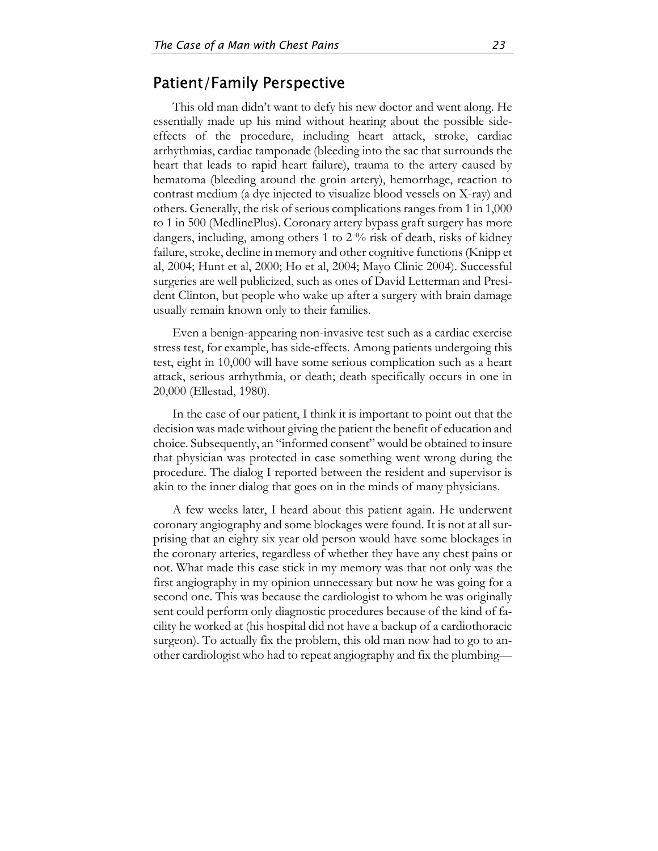#### Patient/Family Perspective

This old man didn't want to defy his new doctor and went along. He essentially made up his mind without hearing about the possible sideeffects of the procedure, including heart attack, stroke, cardiac arrhythmias, cardiac tamponade (bleeding into the sac that surrounds the heart that leads to rapid heart failure), trauma to the artery caused by hematoma (bleeding around the groin artery), hemorrhage, reaction to contrast medium (a dye injected to visualize blood vessels on X-ray) and others. Generally, the risk of serious complications ranges from 1 in 1,000 to 1 in 500 (MedlinePlus). Coronary artery bypass graft surgery has more dangers, including, among others 1 to 2 % risk of death, risks of kidney failure, stroke, decline in memory and other cognitive functions (Knipp et al, 2004; Hunt et al, 2000; Ho et al, 2004; Mayo Clinic 2004). Successful surgeries are well publicized, such as ones of David Letterman and President Clinton, but people who wake up after a surgery with brain damage usually remain known only to their families.

Even a benign-appearing non-invasive test such as a cardiac exercise stress test, for example, has side-effects. Among patients undergoing this test, eight in 10,000 will have some serious complication such as a heart attack, serious arrhythmia, or death; death specifically occurs in one in 20,000 (Ellestad, 1980).

In the case of our patient, I think it is important to point out that the decision was made without giving the patient the benefit of education and choice. Subsequently, an "informed consent" would be obtained to insure that physician was protected in case something went wrong during the procedure. The dialog I reported between the resident and supervisor is akin to the inner dialog that goes on in the minds of many physicians.

A few weeks later, I heard about this patient again. He underwent coronary angiography and some blockages were found. It is not at all surprising that an eighty six year old person would have some blockages in the coronary arteries, regardless of whether they have any chest pains or not. What made this case stick in my memory was that not only was the first angiography in my opinion unnecessary but now he was going for a second one. This was because the cardiologist to whom he was originally sent could perform only diagnostic procedures because of the kind of facility he worked at (his hospital did not have a backup of a cardiothoracic surgeon). To actually fix the problem, this old man now had to go to another cardiologist who had to repeat angiography and fix the plumbing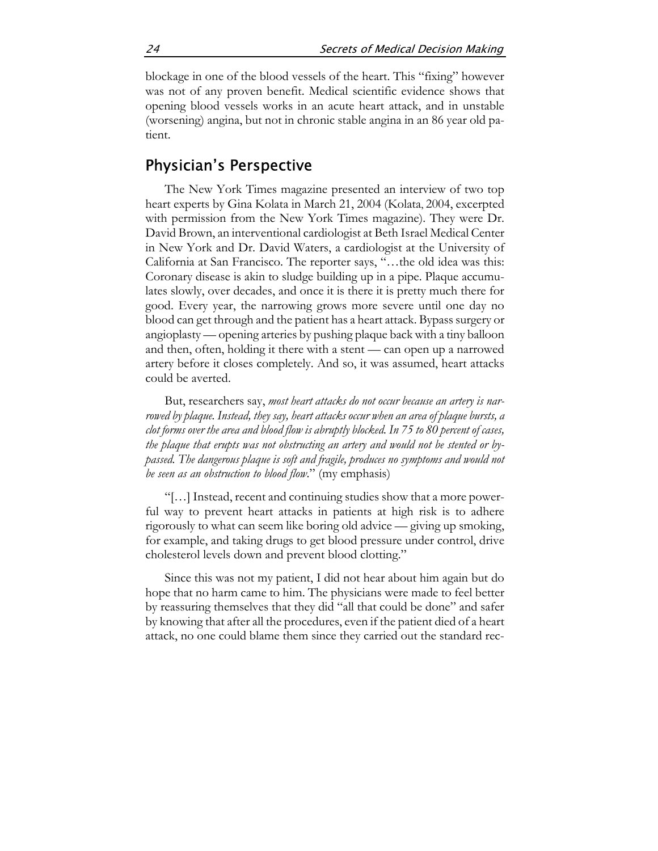blockage in one of the blood vessels of the heart. This "fixing" however was not of any proven benefit. Medical scientific evidence shows that opening blood vessels works in an acute heart attack, and in unstable (worsening) angina, but not in chronic stable angina in an 86 year old patient.

#### Physician's Perspective

The New York Times magazine presented an interview of two top heart experts by Gina Kolata in March 21, 2004 (Kolata, 2004, excerpted with permission from the New York Times magazine). They were Dr. David Brown, an interventional cardiologist at Beth Israel Medical Center in New York and Dr. David Waters, a cardiologist at the University of California at San Francisco. The reporter says, "…the old idea was this: Coronary disease is akin to sludge building up in a pipe. Plaque accumulates slowly, over decades, and once it is there it is pretty much there for good. Every year, the narrowing grows more severe until one day no blood can get through and the patient has a heart attack. Bypass surgery or angioplasty — opening arteries by pushing plaque back with a tiny balloon and then, often, holding it there with a stent — can open up a narrowed artery before it closes completely. And so, it was assumed, heart attacks could be averted.

But, researchers say, *most heart attacks do not occur because an artery is narrowed by plaque. Instead, they say, heart attacks occur when an area of plaque bursts, a clot forms over the area and blood flow is abruptly blocked. In 75 to 80 percent of cases, the plaque that erupts was not obstructing an artery and would not be stented or bypassed. The dangerous plaque is soft and fragile, produces no symptoms and would not be seen as an obstruction to blood flow*." (my emphasis)

"[…] Instead, recent and continuing studies show that a more powerful way to prevent heart attacks in patients at high risk is to adhere rigorously to what can seem like boring old advice — giving up smoking, for example, and taking drugs to get blood pressure under control, drive cholesterol levels down and prevent blood clotting."

Since this was not my patient, I did not hear about him again but do hope that no harm came to him. The physicians were made to feel better by reassuring themselves that they did "all that could be done" and safer by knowing that after all the procedures, even if the patient died of a heart attack, no one could blame them since they carried out the standard rec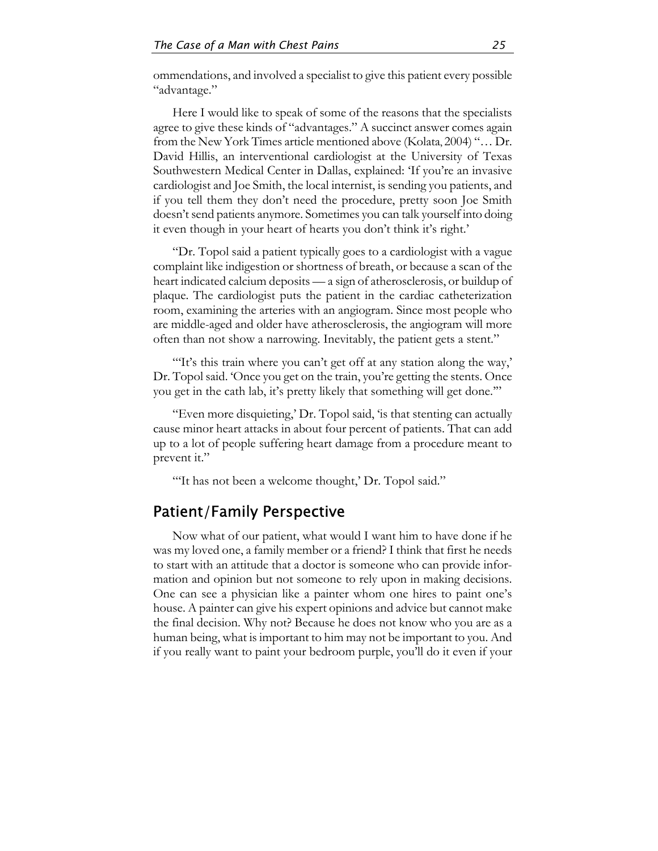ommendations, and involved a specialist to give this patient every possible "advantage."

Here I would like to speak of some of the reasons that the specialists agree to give these kinds of "advantages." A succinct answer comes again from the New York Times article mentioned above (Kolata, 2004) "… Dr. David Hillis, an interventional cardiologist at the University of Texas Southwestern Medical Center in Dallas, explained: 'If you're an invasive cardiologist and Joe Smith, the local internist, is sending you patients, and if you tell them they don't need the procedure, pretty soon Joe Smith doesn't send patients anymore. Sometimes you can talk yourself into doing it even though in your heart of hearts you don't think it's right.'

"Dr. Topol said a patient typically goes to a cardiologist with a vague complaint like indigestion or shortness of breath, or because a scan of the heart indicated calcium deposits — a sign of atherosclerosis, or buildup of plaque. The cardiologist puts the patient in the cardiac catheterization room, examining the arteries with an angiogram. Since most people who are middle-aged and older have atherosclerosis, the angiogram will more often than not show a narrowing. Inevitably, the patient gets a stent."

"It's this train where you can't get off at any station along the way," Dr. Topol said. 'Once you get on the train, you're getting the stents. Once you get in the cath lab, it's pretty likely that something will get done.'"

"Even more disquieting,' Dr. Topol said, 'is that stenting can actually cause minor heart attacks in about four percent of patients. That can add up to a lot of people suffering heart damage from a procedure meant to prevent it."

"It has not been a welcome thought,' Dr. Topol said."

#### Patient/Family Perspective

Now what of our patient, what would I want him to have done if he was my loved one, a family member or a friend? I think that first he needs to start with an attitude that a doctor is someone who can provide information and opinion but not someone to rely upon in making decisions. One can see a physician like a painter whom one hires to paint one's house. A painter can give his expert opinions and advice but cannot make the final decision. Why not? Because he does not know who you are as a human being, what is important to him may not be important to you. And if you really want to paint your bedroom purple, you'll do it even if your